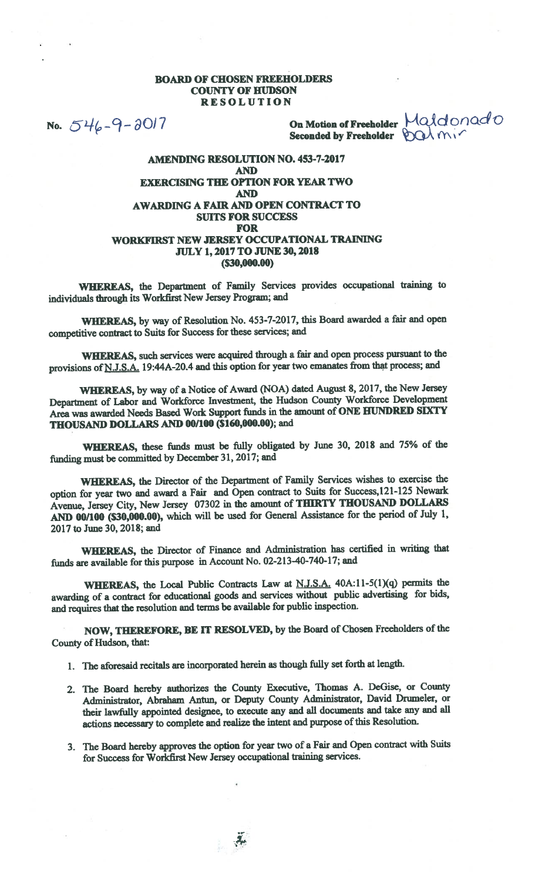## BOARD OF CHOSEN FREEHOLDERS COUNTY OF HUDSON RESOLUTION

No.  $546 - 9 - 30/7$  On Motion of Freeholder  $\mathcal{A}$ donad O Seconded by Freeholder  $\bigotimes Q \wedge \{Y \}$ 

## AMENDING RESOLUTION NO. 453-7-2017 AND EXERCISING TIlE OPTION FOR YEAR TWO AND AWARDING A FAIR AND OPEN CONTRACT TO SUITS FOR SUCCESS FOR WORKFIRST NEW JERSEY OCCUPATIONAL TRAINING JULY 1,2017T0 JUNE 30, 2018 (\$30,000.00)

WHEREAS, the Department of Family Services provides occupational training to individuals through its Workfirst New Jersey Program; and

WHEREAS, by way of Resolution No. 453-7-2017, this Board awarded <sup>a</sup> fair and open competitive contract to Suits for Success for these services; and

WHEREAS, such services were acquired through <sup>a</sup> fair and open process pursuan<sup>t</sup> to the provisions of N.J.S.A. 19:44A-20.4 and this option for year two emanates from that process; and

WHEREAS, by way of <sup>a</sup> Notice of Award (NOA) dated August 8, 2017, the New Jersey Department of Labor and Workforce Investment, the Hudson County Workforce Development Area was awarded Needs Based Work Support funds in the amount of ONE HUNDRED SIXTY THOUSAND DOLLARS AND 00/100 (\$160,000.00); and

WHEREAS, these funds must be fully obligated by June 30, <sup>2018</sup> and 75% of the funding must be committed by December 31, 2017; and

WHEREAS, the Director of the Department of Family Services wishes to exercise the option for year two and award <sup>a</sup> Fair and Open contract to Suits for Success,121-125 Newark Avenue, Jersey City, New Jersey <sup>07302</sup> in the amount of THIRTY THOUSAND DOLLARS AND 00/100 (\$30,000.00), which will be used for General Assistance for the period of July 1, 2017 to June 30, 2018; and

WHEREAS, the Director of Finance and Administration has certified in writing that funds are available for this purpose in Account No. 02-213-40-740-17; and

WHEREAS, the Local Public Contracts Law at N.J.S.A. 40A:11-5(1)(q) permits the awarding of <sup>a</sup> contract for educational goods and services without public advertising for bids, and requires that the resolution and terms be available for public inspection.

NOW, THEREFORE, BE iT RESOLVED, by the Board of Chosen Freeholders of the County of Hudson, that:

1. The aforesaid recitals are incorporated herein as though fully set forth at length.

 $\mathcal{A}_{\mathcal{F}}$ 

- 2. The Board hereby authorizes the County Executive, Thomas A. DeGise, or County Administrator, Abraham Antun, or Deputy County Administrator, David Drumeler, or their lawfully appointed designee, to execute any and all documents and take any and all actions necessary to complete and realize the intent and purpose of this Resolution.
- 3. The Board hereby approves the option for year two of <sup>a</sup> Fair and Open contract with Suits for Success for Workflrst New Jersey occupational training services.